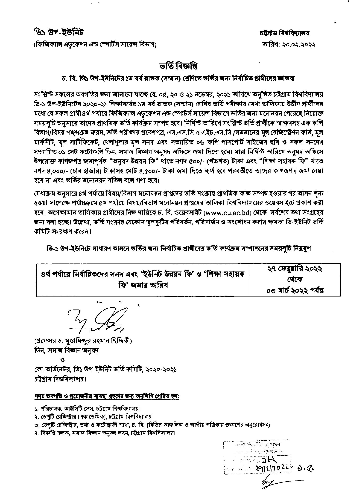# ডি১ উপ-ইউনিট

(ফিজিক্যাল এডকেশন এন্ড স্পোর্টস সায়েন্স বিভাগ)

### চট্টগ্ৰাম বিশ্ববিদ্যালয় তারিখ: ২০.০২.২০২২

## ভৰ্তি বিজ্ঞপ্তি

#### চ, বি, ডি১ উপ-ইউনিটের ১ম বর্ষ স্নাতক (সম্মান) শ্রেণিতে ভর্তির জন্য নির্বাচিত প্রার্থীদের জ্ঞাতব্য

সংশ্লিস্ট সকলের অবগতির জন্য জানানো যাচ্ছে যে, ০৫, ২০ ও ২১ নভেম্বর, ২০২১ তারিখে অনুষ্ঠিত চট্টগ্রাম বিশ্ববিদ্যালয় ডি-১ উপ-ইউনিটের ২০২০-২১ শিক্ষাবর্ষের ১ম বর্ষ স্লাতক (সম্মান) শ্রেণির ভর্তি পরীক্ষায় মেধা তালিকায় উর্তীণ প্রার্থীদের মধ্যে যে সকল প্রার্থী ৪র্থ পর্যায়ে ফিজিক্যাল এডকেশন এন্ড স্পোটর্স সায়েন্স বিভাগে ভর্তির জন্য মনোনয়ন পেয়েছে নিম্নোক্ত সময়সূচি অনুসারে তাদের প্রাথমিক ভর্তি কার্যক্রম সম্পন্ন হবে। নির্দিন্ট তারিখে সংগ্লিন্ট ভর্তি প্রার্থীকে স্বাক্ষরসহ এক কপি বিভাগ/বিষয় পছন্দক্রম ফরম, ভর্তি পরীক্ষার প্রবেশপত্র, এস.এস.সি ও এইচ.এস.সি /সমমানের মল রেজিস্ট্রেশন কার্ড, মল মার্কসীট, মল সাটিফিকেট, খেলাধলার মল সনদ এবং সত্যায়িত ০৬ কপি পাসপোর্ট সাইজের ছবি ও সকল সনদের সত্যায়িত ০১ সেট ফটোকপি ডিন, সমাজ বিজ্ঞান অনুষদ অফিসে জমা দিতে হবে। যারা নির্দিস্ট তারিখে অনুষদ অফিসে উপরোক্ত কাগজপত্র জমাপূর্বক "অনুষদ উন্নয়ন ফি" খাতে নগদ ৫০০/- (পীচশত) টাকা এবং "শিক্ষা সহায়ক ফি" খাতে নগদ ৪,০০০/- (চার হাজার) টাকাসহ মোট ৪,৫০০/- টাকা জমা দিতে ব্যর্থ হবে পরবর্তীতে তাদের কাগজপত্র জমা নেয়া হবে না এবং ভর্তির মনোনয়ন বতিল বলে গণ্য হবে।

মেধাক্রম অনুসারে ৪র্থ পর্যায়ে বিষয়/বিভাগ মনোনয়ন প্রাপ্তদের ভর্তি সংক্রান্ত প্রাথমিক কাজ সম্পন্ন হওয়ার পর আসন শূন্য হওয়া সাপেক্ষে পর্যায়ক্রমে ৫ম পর্যায়ে বিষয়/বিভাগ মনোনয়ন প্রাপ্তদের তালিকা বিশ্ববিদ্যালয়ের ওয়েবসাইটে প্রকাশ করা হবে। অপেক্ষামান তালিকায় প্রার্থীদের নিজ দায়িত্বে চ. বি. ওয়েবসাইট (www.cu.ac.bd) থেকে সর্বশেষ তথ্য সংগ্রহের জন্য বলা হচ্ছে। উল্লেখ্য, ভর্তি সংক্রান্ত যেকোন ভলক্রটির পরিবর্তন, পরিমার্জন ও সংশোধন করার ক্ষমতা ডি-ইউনিট ভর্তি কমিটি সংরক্ষণ করেন।

ডি-১ উপ-ইউনিটে সাধারণ আসনে ভর্তির জন্য নির্বাচিত প্রার্থীদের ভর্তি কার্যক্রম সম্পাদনের সময়সূচি নিম্নরূপ

| ৪র্থ পর্যায়ে নির্বাচিতদের সনদ এবং 'ইউনিট উন্নয়ন ফি' ও 'শিক্ষা সহায়ক | ২৭ ফেব্রুয়ারি ২০২২   |
|------------------------------------------------------------------------|-----------------------|
| ফি' জমার তারিখ                                                         | খেকে                  |
|                                                                        | ০৩ মার্চ ২০২২ পর্যন্ত |

(প্রফেসর ড. মুস্তাফিজুর রহমান ছিদ্দিকী) ডিন, সমাজ বিজ্ঞান অনুষদ

Ó

কো-অর্ডিনেটর, ডি১ উপ-ইউনিট ভর্তি কমিটি, ২০২০-২০২১ চটগাম বিশ্ববিদ্যালয়।

#### সদয় অবগতি ও প্রয়োজনীয় ব্যবস্থা গ্রহণের জন্য অনুলিপি প্রেরিত হল:

- ১. পরিচালক, আইসিটি সেল, চট্টগ্রাম বিশ্ববিদ্যালয়।
- ২. ডেপুটি রেজিস্ট্রার (একাডেমিক), চট্টগ্রাম বিশ্ববিদ্যালয়।
- ৩. ডেপুটি রেজিস্ট্রার, তথ্য ও ফটোগ্রাফী শাখা, চ. বি. (বিভিন্ন আঞ্চলিক ও জাতীয় পত্রিকায় প্রকাশের অনুরোধসহ)
- ৪. বিজ্ঞপ্তি ফলক, সমাজ বিজ্ঞান অনমদ ভবন, চট্টগ্ৰাম বিশ্ববিদ্যালয়।

ঁক গৰীত সেৱা ্ৰ ইয়ছজি**ন্ত্যাল**ন  $2022 - 2.00$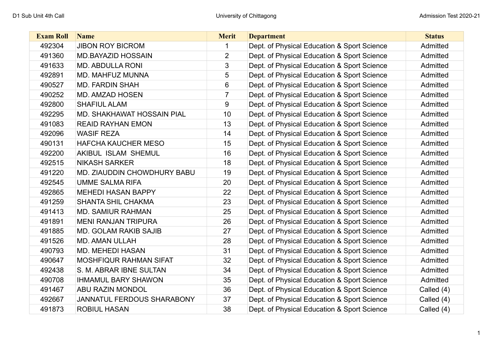| <b>Exam Roll</b> | <b>Name</b>                       | <b>Merit</b>   | <b>Department</b>                           | <b>Status</b> |
|------------------|-----------------------------------|----------------|---------------------------------------------|---------------|
| 492304           | <b>JIBON ROY BICROM</b>           |                | Dept. of Physical Education & Sport Science | Admitted      |
| 491360           | <b>MD.BAYAZID HOSSAIN</b>         | $\overline{2}$ | Dept. of Physical Education & Sport Science | Admitted      |
| 491633           | <b>MD. ABDULLA RONI</b>           | 3              | Dept. of Physical Education & Sport Science | Admitted      |
| 492891           | MD. MAHFUZ MUNNA                  | 5              | Dept. of Physical Education & Sport Science | Admitted      |
| 490527           | <b>MD. FARDIN SHAH</b>            | 6              | Dept. of Physical Education & Sport Science | Admitted      |
| 490252           | <b>MD. AMZAD HOSEN</b>            | 7              | Dept. of Physical Education & Sport Science | Admitted      |
| 492800           | <b>SHAFIUL ALAM</b>               | 9              | Dept. of Physical Education & Sport Science | Admitted      |
| 492295           | MD. SHAKHAWAT HOSSAIN PIAL        | 10             | Dept. of Physical Education & Sport Science | Admitted      |
| 491083           | <b>REAID RAYHAN EMON</b>          | 13             | Dept. of Physical Education & Sport Science | Admitted      |
| 492096           | <b>WASIF REZA</b>                 | 14             | Dept. of Physical Education & Sport Science | Admitted      |
| 490131           | <b>HAFCHA KAUCHER MESO</b>        | 15             | Dept. of Physical Education & Sport Science | Admitted      |
| 492200           | <b>AKIBUL ISLAM SHEMUL</b>        | 16             | Dept. of Physical Education & Sport Science | Admitted      |
| 492515           | <b>NIKASH SARKER</b>              | 18             | Dept. of Physical Education & Sport Science | Admitted      |
| 491220           | MD. ZIAUDDIN CHOWDHURY BABU       | 19             | Dept. of Physical Education & Sport Science | Admitted      |
| 492545           | <b>UMME SALMA RIFA</b>            | 20             | Dept. of Physical Education & Sport Science | Admitted      |
| 492865           | <b>MEHEDI HASAN BAPPY</b>         | 22             | Dept. of Physical Education & Sport Science | Admitted      |
| 491259           | <b>SHANTA SHIL CHAKMA</b>         | 23             | Dept. of Physical Education & Sport Science | Admitted      |
| 491413           | <b>MD. SAMIUR RAHMAN</b>          | 25             | Dept. of Physical Education & Sport Science | Admitted      |
| 491891           | <b>MENI RANJAN TRIPURA</b>        | 26             | Dept. of Physical Education & Sport Science | Admitted      |
| 491885           | <b>MD. GOLAM RAKIB SAJIB</b>      | 27             | Dept. of Physical Education & Sport Science | Admitted      |
| 491526           | <b>MD. AMAN ULLAH</b>             | 28             | Dept. of Physical Education & Sport Science | Admitted      |
| 490793           | <b>MD. MEHEDI HASAN</b>           | 31             | Dept. of Physical Education & Sport Science | Admitted      |
| 490647           | MOSHFIQUR RAHMAN SIFAT            | 32             | Dept. of Physical Education & Sport Science | Admitted      |
| 492438           | S. M. ABRAR IBNE SULTAN           | 34             | Dept. of Physical Education & Sport Science | Admitted      |
| 490708           | <b>IHMAMUL BARY SHAWON</b>        | 35             | Dept. of Physical Education & Sport Science | Admitted      |
| 491467           | <b>ABU RAZIN MONDOL</b>           | 36             | Dept. of Physical Education & Sport Science | Called (4)    |
| 492667           | <b>JANNATUL FERDOUS SHARABONY</b> | 37             | Dept. of Physical Education & Sport Science | Called (4)    |
| 491873           | <b>ROBIUL HASAN</b>               | 38             | Dept. of Physical Education & Sport Science | Called (4)    |